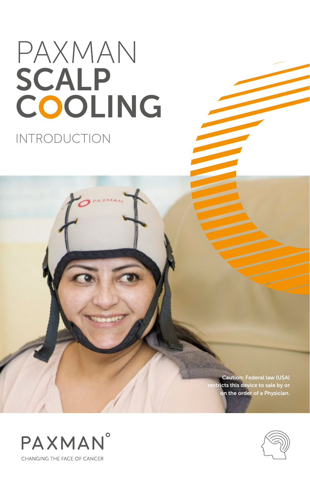# PAXMAN **SCALP** COOLING INTRODUCTION

Caution: Federal law (USA) tri<mark>cts this d</mark>evice to sale by or on the order of a Physician.





CHANGING THE FACE OF CANCER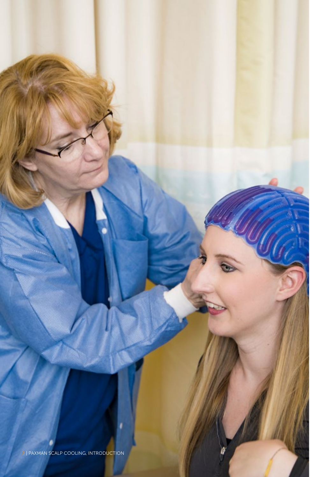2 | PAXMAN SCALP COOLING, INTRODUCTION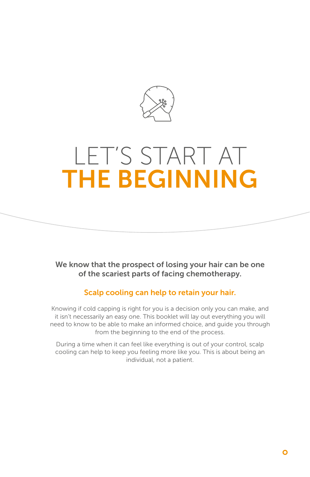

# LET'S START AT THE BEGINNING

We know that the prospect of losing your hair can be one of the scariest parts of facing chemotherapy.

#### Scalp cooling can help to retain your hair.

Knowing if cold capping is right for you is a decision only you can make, and it isn't necessarily an easy one. This booklet will lay out everything you will need to know to be able to make an informed choice, and guide you through from the beginning to the end of the process.

During a time when it can feel like everything is out of your control, scalp cooling can help to keep you feeling more like you. This is about being an individual, not a patient.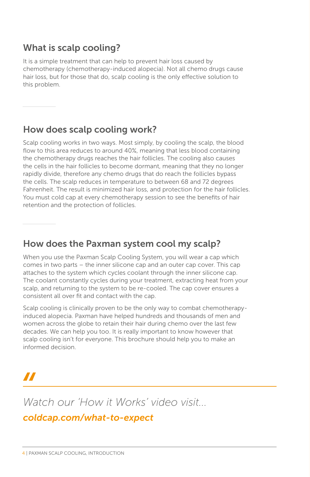### What is scalp cooling?

It is a simple treatment that can help to prevent hair loss caused by chemotherapy (chemotherapy-induced alopecia). Not all chemo drugs cause hair loss, but for those that do, scalp cooling is the only effective solution to this problem.

#### How does scalp cooling work?

Scalp cooling works in two ways. Most simply, by cooling the scalp, the blood flow to this area reduces to around 40%, meaning that less blood containing the chemotherapy drugs reaches the hair follicles. The cooling also causes the cells in the hair follicles to become dormant, meaning that they no longer rapidly divide, therefore any chemo drugs that do reach the follicles bypass the cells. The scalp reduces in temperature to between 68 and 72 degrees Fahrenheit. The result is minimized hair loss, and protection for the hair follicles. You must cold cap at every chemotherapy session to see the benefits of hair retention and the protection of follicles.

#### How does the Paxman system cool my scalp?

When you use the Paxman Scalp Cooling System, you will wear a cap which comes in two parts – the inner silicone cap and an outer cap cover. This cap attaches to the system which cycles coolant through the inner silicone cap. The coolant constantly cycles during your treatment, extracting heat from your scalp, and returning to the system to be re-cooled. The cap cover ensures a consistent all over fit and contact with the cap.

Scalp cooling is clinically proven to be the only way to combat chemotherapyinduced alopecia. Paxman have helped hundreds and thousands of men and women across the globe to retain their hair during chemo over the last few decades. We can help you too. It is really important to know however that scalp cooling isn't for everyone. This brochure should help you to make an informed decision.

## 77

*Watch our 'How it Works' video visit...*

#### *coldcap.com/what-to-expect*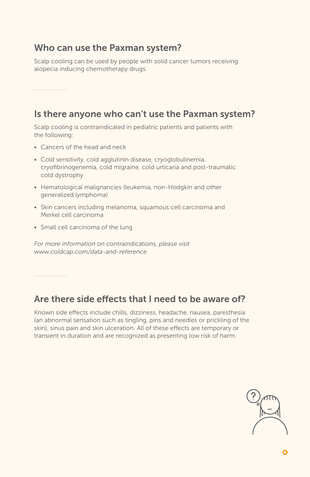#### Who can use the Paxman system?

Scalp cooling can be used by people with solid cancer tumors receiving alopecia inducing chemotherapy drugs.

#### Is there anyone who can't use the Paxman system?

Scalp cooling is contraindicated in pediatric patients and patients with the following:

- Cancers of the head and neck
- Cold sensitivity, cold agglutinin disease, cryoglobulinemia, cryofibrinogenemia, cold migraine, cold urticaria and post-traumatic cold dystrophy
- Hematological malignancies (leukemia, non-Hodgkin and other generalized lymphoma)
- Skin cancers including melanoma, squamous cell carcinoma and Merkel cell carcinoma
- Small cell carcinoma of the lung

*For more information on contraindications, please visit www.coldcap.com/data-and-reference*

#### Are there side effects that I need to be aware of?

Known side effects include chills, dizziness, headache, nausea, paresthesia (an abnormal sensation such as tingling, pins and needles or prickling of the skin), sinus pain and skin ulceration. All of these effects are temporary or transient in duration and are recognized as presenting low risk of harm.

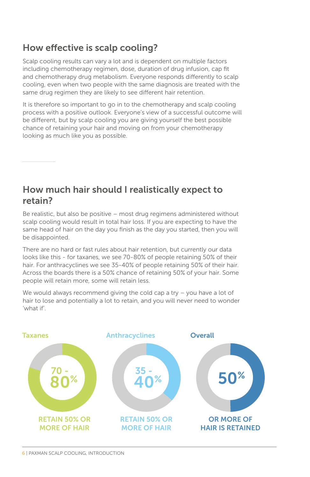### How effective is scalp cooling?

Scalp cooling results can vary a lot and is dependent on multiple factors including chemotherapy regimen, dose, duration of drug infusion, cap fit and chemotherapy drug metabolism. Everyone responds differently to scalp cooling, even when two people with the same diagnosis are treated with the same drug regimen they are likely to see different hair retention.

It is therefore so important to go in to the chemotherapy and scalp cooling process with a positive outlook. Everyone's view of a successful outcome will be different, but by scalp cooling you are giving yourself the best possible chance of retaining your hair and moving on from your chemotherapy looking as much like you as possible.

#### How much hair should I realistically expect to retain?

Be realistic, but also be positive – most drug regimens administered without scalp cooling would result in total hair loss. If you are expecting to have the same head of hair on the day you finish as the day you started, then you will be disappointed.

There are no hard or fast rules about hair retention, but currently our data looks like this - for taxanes, we see 70-80% of people retaining 50% of their hair. For anthracyclines we see 35-40% of people retaining 50% of their hair. Across the boards there is a 50% chance of retaining 50% of your hair. Some people will retain more, some will retain less.

We would always recommend giving the cold cap a try – you have a lot of hair to lose and potentially a lot to retain, and you will never need to wonder 'what if'

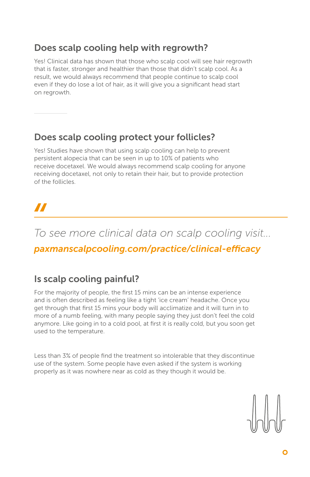#### Does scalp cooling help with regrowth?

Yes! Clinical data has shown that those who scalp cool will see hair regrowth that is faster, stronger and healthier than those that didn't scalp cool. As a result, we would always recommend that people continue to scalp cool even if they do lose a lot of hair, as it will give you a significant head start on regrowth.

### Does scalp cooling protect your follicles?

Yes! Studies have shown that using scalp cooling can help to prevent persistent alopecia that can be seen in up to 10% of patients who receive docetaxel. We would always recommend scalp cooling for anyone receiving docetaxel, not only to retain their hair, but to provide protection of the follicles.

# $\boldsymbol{H}$

### *To see more clinical data on scalp cooling visit...*

#### *paxmanscalpcooling.com/practice/clinical-efficacy*

### Is scalp cooling painful?

For the majority of people, the first 15 mins can be an intense experience and is often described as feeling like a tight 'ice cream' headache. Once you get through that first 15 mins your body will acclimatize and it will turn in to more of a numb feeling, with many people saying they just don't feel the cold anymore. Like going in to a cold pool, at first it is really cold, but you soon get used to the temperature.

Less than 3% of people find the treatment so intolerable that they discontinue use of the system. Some people have even asked if the system is working properly as it was nowhere near as cold as they though it would be.

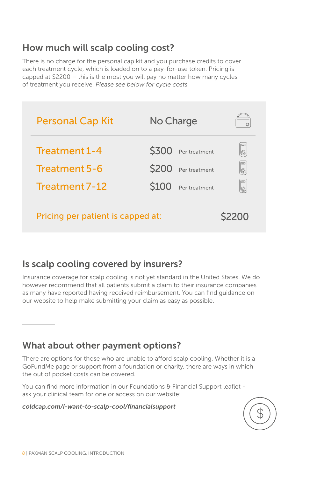#### How much will scalp cooling cost?

There is no charge for the personal cap kit and you purchase credits to cover each treatment cycle, which is loaded on to a pay-for-use token. Pricing is capped at \$2200 – this is the most you will pay no matter how many cycles of treatment you receive. *Please see below for cycle costs.*

| <b>Personal Cap Kit</b>           | No Charge                     |        |
|-----------------------------------|-------------------------------|--------|
| <b>Treatment 1-4</b>              | <b>S300</b><br>Per treatment  | Ó      |
| Treatment 5-6                     | <b>\$200</b><br>Per treatment | e<br>O |
| Treatment 7-12                    | <b>S100</b><br>Per treatment  |        |
| Pricing per patient is capped at: |                               |        |

### Is scalp cooling covered by insurers?

Insurance coverage for scalp cooling is not yet standard in the United States. We do however recommend that all patients submit a claim to their insurance companies as many have reported having received reimbursement. You can find guidance on our website to help make submitting your claim as easy as possible.

#### What about other payment options?

There are options for those who are unable to afford scalp cooling. Whether it is a GoFundMe page or support from a foundation or charity, there are ways in which the out of pocket costs can be covered.

You can find more information in our Foundations & Financial Support leaflet ask your clinical team for one or access on our website:

#### *coldcap.com/i-want-to-scalp-cool/financialsupport*

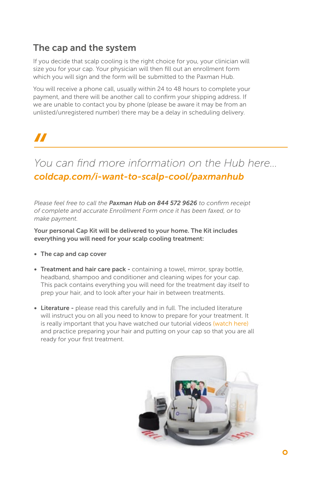#### The cap and the system

If you decide that scalp cooling is the right choice for you, your clinician will size you for your cap. Your physician will then fill out an enrollment form which you will sign and the form will be submitted to the Paxman Hub.

You will receive a phone call, usually within 24 to 48 hours to complete your payment, and there will be another call to confirm your shipping address. If we are unable to contact you by phone (please be aware it may be from an unlisted/unregistered number) there may be a delay in scheduling delivery.

# 77

### *You can find more information on the Hub here… coldcap.com/i-want-to-scalp-cool/paxmanhub*

*Please feel free to call the Paxman Hub on 844 572 9626 to confirm receipt of complete and accurate Enrollment Form once it has been faxed, or to make payment.* 

Your personal Cap Kit will be delivered to your home. The Kit includes everything you will need for your scalp cooling treatment:

- The cap and cap cover
- Treatment and hair care pack containing a towel, mirror, spray bottle, headband, shampoo and conditioner and cleaning wipes for your cap. This pack contains everything you will need for the treatment day itself to prep your hair, and to look after your hair in between treatments.
- Literature please read this carefully and in full. The included literature will instruct you on all you need to know to prepare for your treatment. It is really important that you have watched our tutorial videos [\(watch here\)](https://coldcap.com/support-guidance/tutorial-videos/) and practice preparing your hair and putting on your cap so that you are all ready for your first treatment.

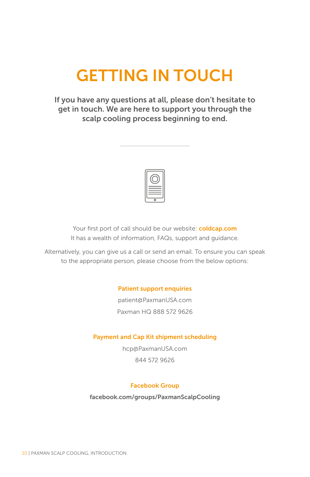# GETTING IN TOUCH

If you have any questions at all, please don't hesitate to get in touch. We are here to support you through the scalp cooling process beginning to end.



Your first port of call should be our website: coldcap.com It has a wealth of information, FAQs, support and guidance.

Alternatively, you can give us a call or send an email. To ensure you can speak to the appropriate person, please choose from the below options:

#### Patient support enquiries

patient@PaxmanUSA.com Paxman HQ 888 572 9626

#### Payment and Cap Kit shipment scheduling

hcp@PaxmanUSA.com 844 572 9626

#### Facebook Group

facebook.com/groups/PaxmanScalpCooling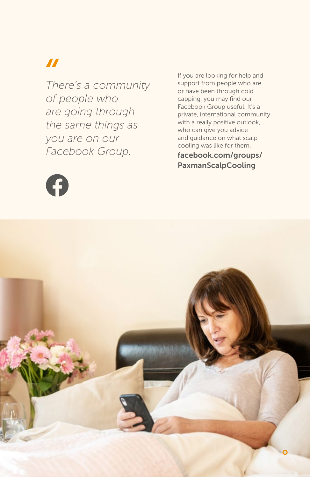# $\boldsymbol{H}$

*There's a community of people who are going through the same things as you are on our Facebook Group.*



If you are looking for help and support from people who are or have been through cold capping, you may find our Facebook Group useful. It's a private, international community with a really positive outlook, who can give you advice and guidance on what scalp cooling was like for them.

facebook.com/groups/ PaxmanScalpCooling